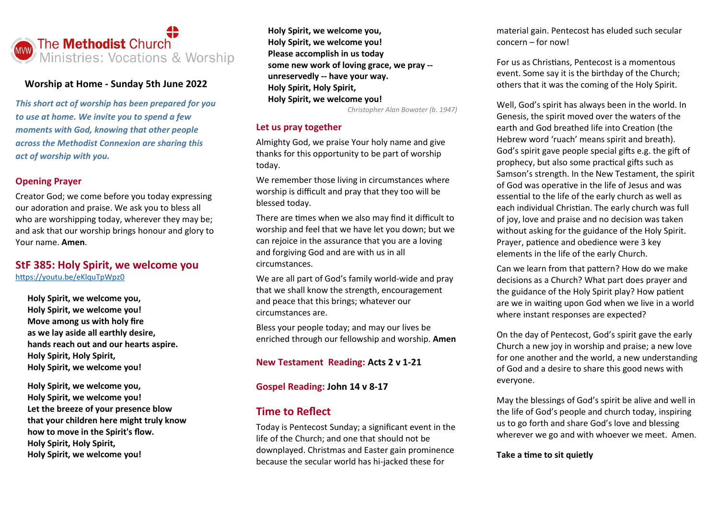

#### **Worship at Home - Sunday 5th June 2022**

*This short act of worship has been prepared for you to use at home. We invite you to spend a few moments with God, knowing that other people across the Methodist Connexion are sharing this act of worship with you.*

## **Opening Prayer**

Creator God; we come before you today expressing our adoration and praise. We ask you to bless all who are worshipping today, wherever they may be; and ask that our worship brings honour and glory to Your name. **Amen**.

## **StF 385: Holy Spirit, we welcome you** <https://youtu.be/eKlquTpWpz0>

**Holy Spirit, we welcome you, Holy Spirit, we welcome you! Move among us with holy fire as we lay aside all earthly desire, hands reach out and our hearts aspire. Holy Spirit, Holy Spirit, Holy Spirit, we welcome you!**

**Holy Spirit, we welcome you, Holy Spirit, we welcome you! Let the breeze of your presence blow that your children here might truly know how to move in the Spirit's flow. Holy Spirit, Holy Spirit, Holy Spirit, we welcome you!**

**Holy Spirit, we welcome you, Holy Spirit, we welcome you! Please accomplish in us today some new work of loving grace, we pray - unreservedly -- have your way. Holy Spirit, Holy Spirit, Holy Spirit, we welcome you!**

*Christopher Alan Bowater (b. 1947)*

#### **Let us pray together**

Almighty God, we praise Your holy name and give thanks for this opportunity to be part of worship today.

We remember those living in circumstances where worship is difficult and pray that they too will be blessed today.

There are times when we also may find it difficult to worship and feel that we have let you down; but we can rejoice in the assurance that you are a loving and forgiving God and are with us in all circumstances.

We are all part of God's family world-wide and pray that we shall know the strength, encouragement and peace that this brings; whatever our circumstances are.

Bless your people today; and may our lives be enriched through our fellowship and worship. **Amen**

## **New Testament Reading: Acts 2 v 1-21**

### **Gospel Reading: John 14 v 8-17**

## **Time to Reflect**

Today is Pentecost Sunday; a significant event in the life of the Church; and one that should not be downplayed. Christmas and Easter gain prominence because the secular world has hi-jacked these for

material gain. Pentecost has eluded such secular concern – for now!

For us as Christians, Pentecost is a momentous event. Some say it is the birthday of the Church; others that it was the coming of the Holy Spirit.

Well, God's spirit has always been in the world. In Genesis, the spirit moved over the waters of the earth and God breathed life into Creation (the Hebrew word 'ruach' means spirit and breath). God's spirit gave people special gifts e.g. the gift of prophecy, but also some practical gifts such as Samson's strength. In the New Testament, the spirit of God was operative in the life of Jesus and was essential to the life of the early church as well as each individual Christian. The early church was full of joy, love and praise and no decision was taken without asking for the guidance of the Holy Spirit. Prayer, patience and obedience were 3 key elements in the life of the early Church.

Can we learn from that pattern? How do we make decisions as a Church? What part does prayer and the guidance of the Holy Spirit play? How patient are we in waiting upon God when we live in a world where instant responses are expected?

On the day of Pentecost, God's spirit gave the early Church a new joy in worship and praise; a new love for one another and the world, a new understanding of God and a desire to share this good news with everyone.

May the blessings of God's spirit be alive and well in the life of God's people and church today, inspiring us to go forth and share God's love and blessing wherever we go and with whoever we meet. Amen.

#### **Take a time to sit quietly**